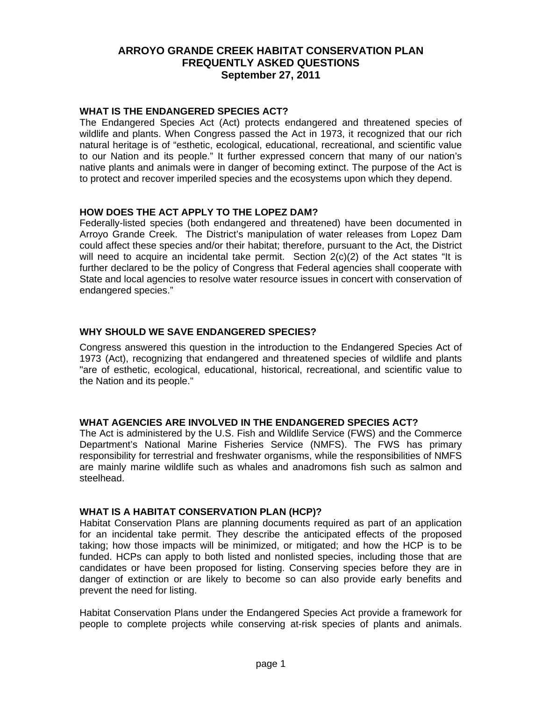### **WHAT IS THE ENDANGERED SPECIES ACT?**

The Endangered Species Act (Act) protects endangered and threatened species of wildlife and plants. When Congress passed the Act in 1973, it recognized that our rich natural heritage is of "esthetic, ecological, educational, recreational, and scientific value to our Nation and its people." It further expressed concern that many of our nation's native plants and animals were in danger of becoming extinct. The purpose of the Act is to protect and recover imperiled species and the ecosystems upon which they depend.

### **HOW DOES THE ACT APPLY TO THE LOPEZ DAM?**

Federally-listed species (both endangered and threatened) have been documented in Arroyo Grande Creek. The District's manipulation of water releases from Lopez Dam could affect these species and/or their habitat; therefore, pursuant to the Act, the District will need to acquire an incidental take permit. Section 2(c)(2) of the Act states "It is further declared to be the policy of Congress that Federal agencies shall cooperate with State and local agencies to resolve water resource issues in concert with conservation of endangered species."

### **WHY SHOULD WE SAVE ENDANGERED SPECIES?**

Congress answered this question in the introduction to the Endangered Species Act of 1973 (Act), recognizing that endangered and threatened species of wildlife and plants "are of esthetic, ecological, educational, historical, recreational, and scientific value to the Nation and its people."

#### **WHAT AGENCIES ARE INVOLVED IN THE ENDANGERED SPECIES ACT?**

The Act is administered by the U.S. Fish and Wildlife Service (FWS) and the Commerce Department's National Marine Fisheries Service (NMFS). The FWS has primary responsibility for terrestrial and freshwater organisms, while the responsibilities of NMFS are mainly marine wildlife such as whales and anadromons fish such as salmon and steelhead.

#### **WHAT IS A HABITAT CONSERVATION PLAN (HCP)?**

Habitat Conservation Plans are planning documents required as part of an application for an incidental take permit. They describe the anticipated effects of the proposed taking; how those impacts will be minimized, or mitigated; and how the HCP is to be funded. HCPs can apply to both listed and nonlisted species, including those that are candidates or have been proposed for listing. Conserving species before they are in danger of extinction or are likely to become so can also provide early benefits and prevent the need for listing.

Habitat Conservation Plans under the Endangered Species Act provide a framework for people to complete projects while conserving at-risk species of plants and animals.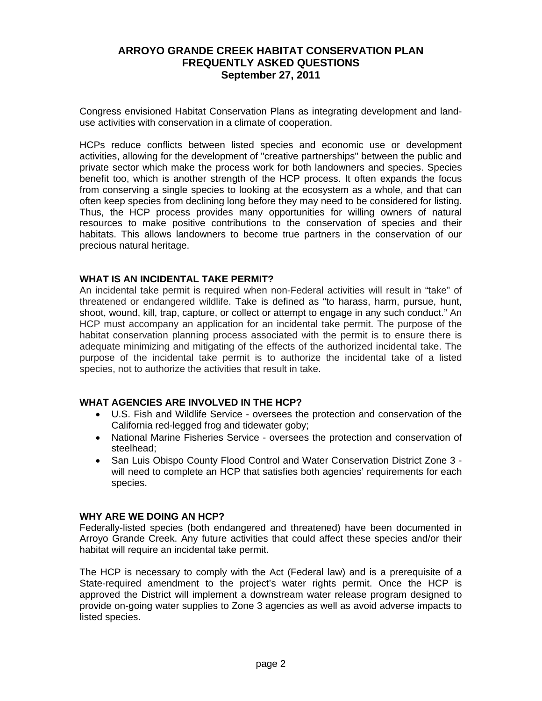Congress envisioned Habitat Conservation Plans as integrating development and landuse activities with conservation in a climate of cooperation.

HCPs reduce conflicts between listed species and economic use or development activities, allowing for the development of "creative partnerships" between the public and private sector which make the process work for both landowners and species. Species benefit too, which is another strength of the HCP process. It often expands the focus from conserving a single species to looking at the ecosystem as a whole, and that can often keep species from declining long before they may need to be considered for listing. Thus, the HCP process provides many opportunities for willing owners of natural resources to make positive contributions to the conservation of species and their habitats. This allows landowners to become true partners in the conservation of our precious natural heritage.

#### **WHAT IS AN INCIDENTAL TAKE PERMIT?**

An incidental take permit is required when non-Federal activities will result in "take" of threatened or endangered wildlife. Take is defined as "to harass, harm, pursue, hunt, shoot, wound, kill, trap, capture, or collect or attempt to engage in any such conduct." An HCP must accompany an application for an incidental take permit. The purpose of the habitat conservation planning process associated with the permit is to ensure there is adequate minimizing and mitigating of the effects of the authorized incidental take. The purpose of the incidental take permit is to authorize the incidental take of a listed species, not to authorize the activities that result in take.

### **WHAT AGENCIES ARE INVOLVED IN THE HCP?**

- U.S. Fish and Wildlife Service oversees the protection and conservation of the California red-legged frog and tidewater goby;
- National Marine Fisheries Service oversees the protection and conservation of steelhead;
- San Luis Obispo County Flood Control and Water Conservation District Zone 3 will need to complete an HCP that satisfies both agencies' requirements for each species.

### **WHY ARE WE DOING AN HCP?**

Federally-listed species (both endangered and threatened) have been documented in Arroyo Grande Creek. Any future activities that could affect these species and/or their habitat will require an incidental take permit.

The HCP is necessary to comply with the Act (Federal law) and is a prerequisite of a State-required amendment to the project's water rights permit. Once the HCP is approved the District will implement a downstream water release program designed to provide on-going water supplies to Zone 3 agencies as well as avoid adverse impacts to listed species.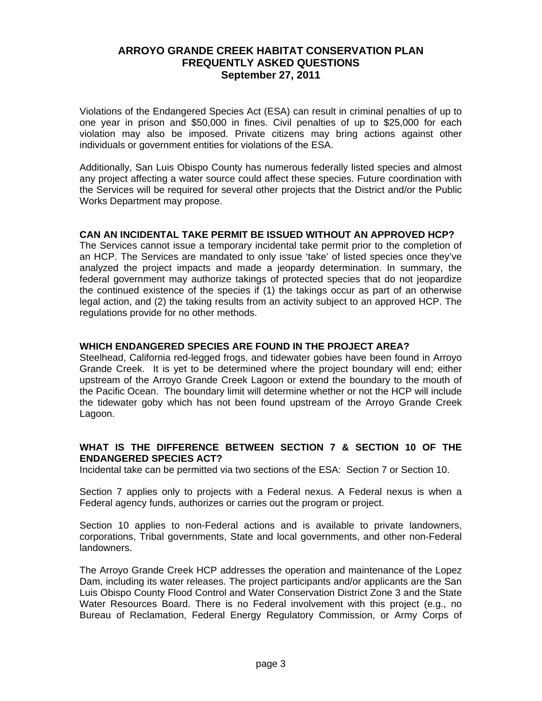Violations of the Endangered Species Act (ESA) can result in criminal penalties of up to one year in prison and \$50,000 in fines. Civil penalties of up to \$25,000 for each violation may also be imposed. Private citizens may bring actions against other individuals or government entities for violations of the ESA.

Additionally, San Luis Obispo County has numerous federally listed species and almost any project affecting a water source could affect these species. Future coordination with the Services will be required for several other projects that the District and/or the Public Works Department may propose.

### **CAN AN INCIDENTAL TAKE PERMIT BE ISSUED WITHOUT AN APPROVED HCP?**

The Services cannot issue a temporary incidental take permit prior to the completion of an HCP. The Services are mandated to only issue 'take' of listed species once they've analyzed the project impacts and made a jeopardy determination. In summary, the federal government may authorize takings of protected species that do not jeopardize the continued existence of the species if (1) the takings occur as part of an otherwise legal action, and (2) the taking results from an activity subject to an approved HCP. The regulations provide for no other methods.

## **WHICH ENDANGERED SPECIES ARE FOUND IN THE PROJECT AREA?**

Steelhead, California red-legged frogs, and tidewater gobies have been found in Arroyo Grande Creek. It is yet to be determined where the project boundary will end; either upstream of the Arroyo Grande Creek Lagoon or extend the boundary to the mouth of the Pacific Ocean. The boundary limit will determine whether or not the HCP will include the tidewater goby which has not been found upstream of the Arroyo Grande Creek Lagoon.

### **WHAT IS THE DIFFERENCE BETWEEN SECTION 7 & SECTION 10 OF THE ENDANGERED SPECIES ACT?**

Incidental take can be permitted via two sections of the ESA: Section 7 or Section 10.

Section 7 applies only to projects with a Federal nexus. A Federal nexus is when a Federal agency funds, authorizes or carries out the program or project.

Section 10 applies to non-Federal actions and is available to private landowners, corporations, Tribal governments, State and local governments, and other non-Federal landowners.

The Arroyo Grande Creek HCP addresses the operation and maintenance of the Lopez Dam, including its water releases. The project participants and/or applicants are the San Luis Obispo County Flood Control and Water Conservation District Zone 3 and the State Water Resources Board. There is no Federal involvement with this project (e.g., no Bureau of Reclamation, Federal Energy Regulatory Commission, or Army Corps of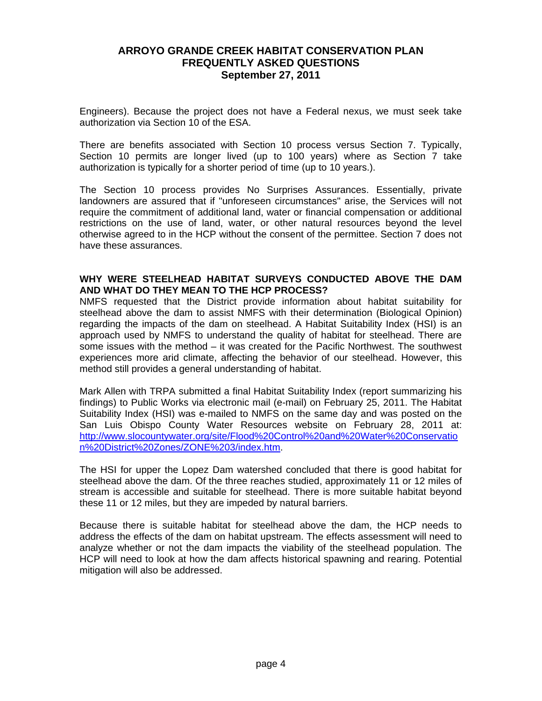Engineers). Because the project does not have a Federal nexus, we must seek take authorization via Section 10 of the ESA.

There are benefits associated with Section 10 process versus Section 7. Typically, Section 10 permits are longer lived (up to 100 years) where as Section 7 take authorization is typically for a shorter period of time (up to 10 years.).

The Section 10 process provides No Surprises Assurances. Essentially, private landowners are assured that if "unforeseen circumstances" arise, the Services will not require the commitment of additional land, water or financial compensation or additional restrictions on the use of land, water, or other natural resources beyond the level otherwise agreed to in the HCP without the consent of the permittee. Section 7 does not have these assurances.

## **WHY WERE STEELHEAD HABITAT SURVEYS CONDUCTED ABOVE THE DAM AND WHAT DO THEY MEAN TO THE HCP PROCESS?**

NMFS requested that the District provide information about habitat suitability for steelhead above the dam to assist NMFS with their determination (Biological Opinion) regarding the impacts of the dam on steelhead. A Habitat Suitability Index (HSI) is an approach used by NMFS to understand the quality of habitat for steelhead. There are some issues with the method – it was created for the Pacific Northwest. The southwest experiences more arid climate, affecting the behavior of our steelhead. However, this method still provides a general understanding of habitat.

Mark Allen with TRPA submitted a final Habitat Suitability Index (report summarizing his findings) to Public Works via electronic mail (e-mail) on February 25, 2011. The Habitat Suitability Index (HSI) was e-mailed to NMFS on the same day and was posted on the San Luis Obispo County Water Resources website on February 28, 2011 at: http://www.slocountywater.org/site/Flood%20Control%20and%20Water%20Conservatio n%20District%20Zones/ZONE%203/index.htm.

The HSI for upper the Lopez Dam watershed concluded that there is good habitat for steelhead above the dam. Of the three reaches studied, approximately 11 or 12 miles of stream is accessible and suitable for steelhead. There is more suitable habitat beyond these 11 or 12 miles, but they are impeded by natural barriers.

Because there is suitable habitat for steelhead above the dam, the HCP needs to address the effects of the dam on habitat upstream. The effects assessment will need to analyze whether or not the dam impacts the viability of the steelhead population. The HCP will need to look at how the dam affects historical spawning and rearing. Potential mitigation will also be addressed.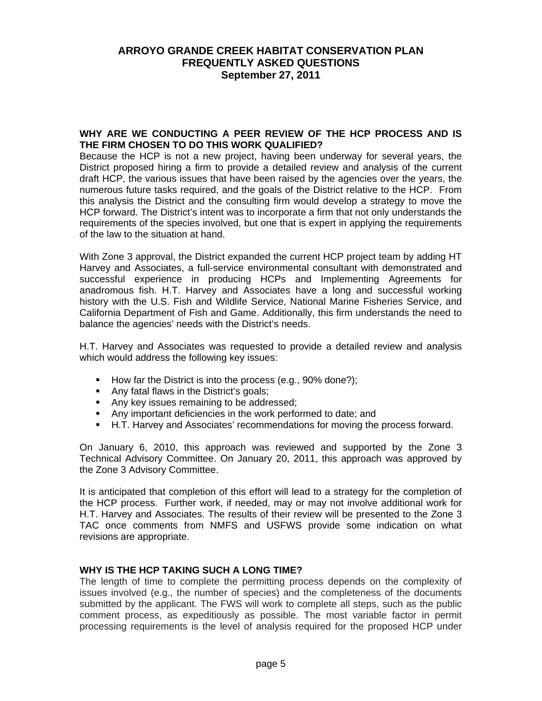#### **WHY ARE WE CONDUCTING A PEER REVIEW OF THE HCP PROCESS AND IS THE FIRM CHOSEN TO DO THIS WORK QUALIFIED?**

Because the HCP is not a new project, having been underway for several years, the District proposed hiring a firm to provide a detailed review and analysis of the current draft HCP, the various issues that have been raised by the agencies over the years, the numerous future tasks required, and the goals of the District relative to the HCP. From this analysis the District and the consulting firm would develop a strategy to move the HCP forward. The District's intent was to incorporate a firm that not only understands the requirements of the species involved, but one that is expert in applying the requirements of the law to the situation at hand.

With Zone 3 approval, the District expanded the current HCP project team by adding HT Harvey and Associates, a full-service environmental consultant with demonstrated and successful experience in producing HCPs and Implementing Agreements for anadromous fish. H.T. Harvey and Associates have a long and successful working history with the U.S. Fish and Wildlife Service, National Marine Fisheries Service, and California Department of Fish and Game. Additionally, this firm understands the need to balance the agencies' needs with the District's needs.

H.T. Harvey and Associates was requested to provide a detailed review and analysis which would address the following key issues:

- How far the District is into the process (e.g.,  $90\%$  done?);
- Any fatal flaws in the District's goals;
- Any key issues remaining to be addressed;
- Any important deficiencies in the work performed to date; and
- H.T. Harvey and Associates' recommendations for moving the process forward.

On January 6, 2010, this approach was reviewed and supported by the Zone 3 Technical Advisory Committee. On January 20, 2011, this approach was approved by the Zone 3 Advisory Committee.

It is anticipated that completion of this effort will lead to a strategy for the completion of the HCP process. Further work, if needed, may or may not involve additional work for H.T. Harvey and Associates. The results of their review will be presented to the Zone 3 TAC once comments from NMFS and USFWS provide some indication on what revisions are appropriate.

## **WHY IS THE HCP TAKING SUCH A LONG TIME?**

The length of time to complete the permitting process depends on the complexity of issues involved (e.g., the number of species) and the completeness of the documents submitted by the applicant. The FWS will work to complete all steps, such as the public comment process, as expeditiously as possible. The most variable factor in permit processing requirements is the level of analysis required for the proposed HCP under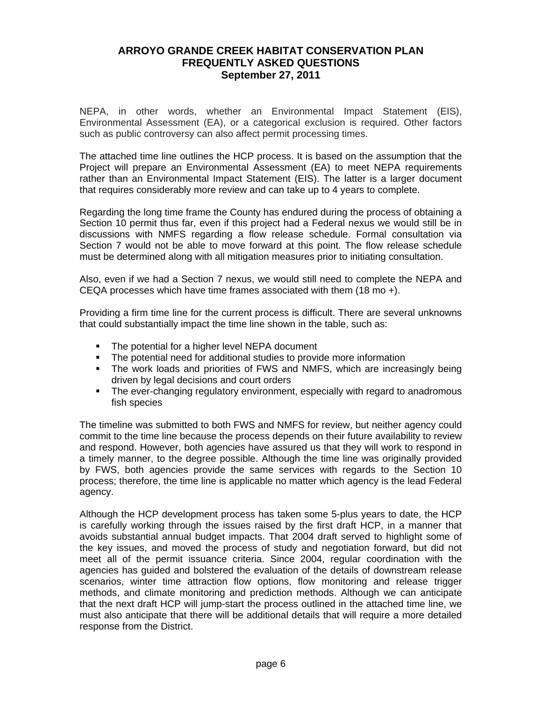NEPA, in other words, whether an Environmental Impact Statement (EIS), Environmental Assessment (EA), or a categorical exclusion is required. Other factors such as public controversy can also affect permit processing times.

The attached time line outlines the HCP process. It is based on the assumption that the Project will prepare an Environmental Assessment (EA) to meet NEPA requirements rather than an Environmental Impact Statement (EIS). The latter is a larger document that requires considerably more review and can take up to 4 years to complete.

Regarding the long time frame the County has endured during the process of obtaining a Section 10 permit thus far, even if this project had a Federal nexus we would still be in discussions with NMFS regarding a flow release schedule. Formal consultation via Section 7 would not be able to move forward at this point. The flow release schedule must be determined along with all mitigation measures prior to initiating consultation.

Also, even if we had a Section 7 nexus, we would still need to complete the NEPA and CEQA processes which have time frames associated with them (18 mo +).

Providing a firm time line for the current process is difficult. There are several unknowns that could substantially impact the time line shown in the table, such as:

- **The potential for a higher level NEPA document**
- The potential need for additional studies to provide more information
- **The work loads and priorities of FWS and NMFS, which are increasingly being** driven by legal decisions and court orders
- The ever-changing regulatory environment, especially with regard to anadromous fish species

The timeline was submitted to both FWS and NMFS for review, but neither agency could commit to the time line because the process depends on their future availability to review and respond. However, both agencies have assured us that they will work to respond in a timely manner, to the degree possible. Although the time line was originally provided by FWS, both agencies provide the same services with regards to the Section 10 process; therefore, the time line is applicable no matter which agency is the lead Federal agency.

Although the HCP development process has taken some 5-plus years to date, the HCP is carefully working through the issues raised by the first draft HCP, in a manner that avoids substantial annual budget impacts. That 2004 draft served to highlight some of the key issues, and moved the process of study and negotiation forward, but did not meet all of the permit issuance criteria. Since 2004, regular coordination with the agencies has guided and bolstered the evaluation of the details of downstream release scenarios, winter time attraction flow options, flow monitoring and release trigger methods, and climate monitoring and prediction methods. Although we can anticipate that the next draft HCP will jump-start the process outlined in the attached time line, we must also anticipate that there will be additional details that will require a more detailed response from the District.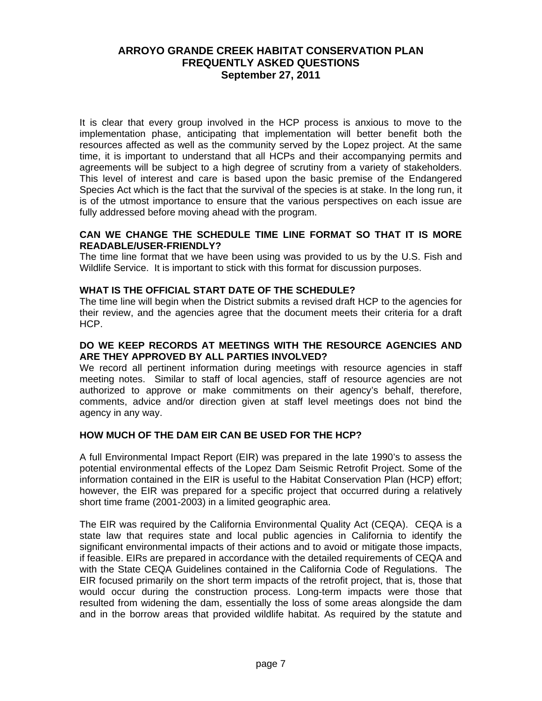It is clear that every group involved in the HCP process is anxious to move to the implementation phase, anticipating that implementation will better benefit both the resources affected as well as the community served by the Lopez project. At the same time, it is important to understand that all HCPs and their accompanying permits and agreements will be subject to a high degree of scrutiny from a variety of stakeholders. This level of interest and care is based upon the basic premise of the Endangered Species Act which is the fact that the survival of the species is at stake. In the long run, it is of the utmost importance to ensure that the various perspectives on each issue are fully addressed before moving ahead with the program.

#### **CAN WE CHANGE THE SCHEDULE TIME LINE FORMAT SO THAT IT IS MORE READABLE/USER-FRIENDLY?**

The time line format that we have been using was provided to us by the U.S. Fish and Wildlife Service. It is important to stick with this format for discussion purposes.

#### **WHAT IS THE OFFICIAL START DATE OF THE SCHEDULE?**

The time line will begin when the District submits a revised draft HCP to the agencies for their review, and the agencies agree that the document meets their criteria for a draft HCP.

#### **DO WE KEEP RECORDS AT MEETINGS WITH THE RESOURCE AGENCIES AND ARE THEY APPROVED BY ALL PARTIES INVOLVED?**

We record all pertinent information during meetings with resource agencies in staff meeting notes. Similar to staff of local agencies, staff of resource agencies are not authorized to approve or make commitments on their agency's behalf, therefore, comments, advice and/or direction given at staff level meetings does not bind the agency in any way.

### **HOW MUCH OF THE DAM EIR CAN BE USED FOR THE HCP?**

A full Environmental Impact Report (EIR) was prepared in the late 1990's to assess the potential environmental effects of the Lopez Dam Seismic Retrofit Project. Some of the information contained in the EIR is useful to the Habitat Conservation Plan (HCP) effort; however, the EIR was prepared for a specific project that occurred during a relatively short time frame (2001-2003) in a limited geographic area.

The EIR was required by the California Environmental Quality Act (CEQA). CEQA is a state law that requires state and local public agencies in California to identify the significant environmental impacts of their actions and to avoid or mitigate those impacts, if feasible. EIRs are prepared in accordance with the detailed requirements of CEQA and with the State CEQA Guidelines contained in the California Code of Regulations. The EIR focused primarily on the short term impacts of the retrofit project, that is, those that would occur during the construction process. Long-term impacts were those that resulted from widening the dam, essentially the loss of some areas alongside the dam and in the borrow areas that provided wildlife habitat. As required by the statute and